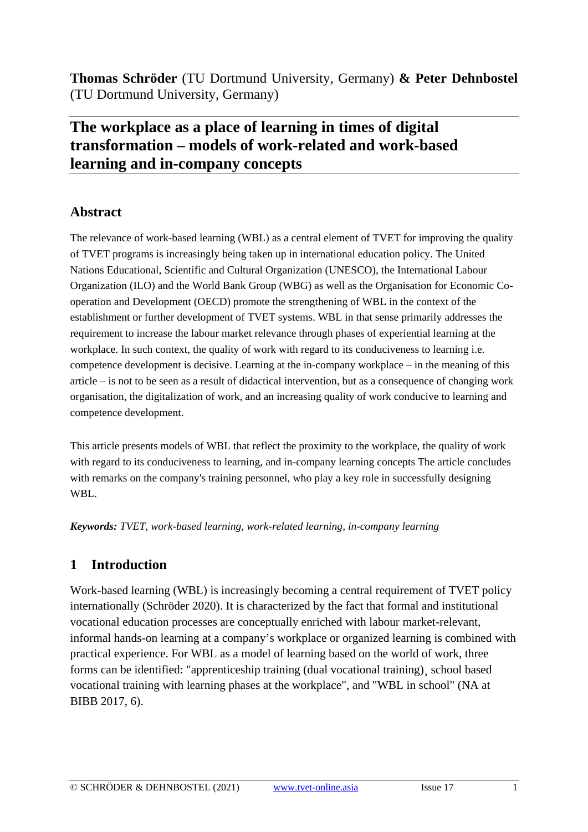**Thomas Schröder** (TU Dortmund University, Germany) **& Peter Dehnbostel** (TU Dortmund University, Germany)

## **The workplace as a place of learning in times of digital transformation – models of work-related and work-based learning and in-company concepts**

## **Abstract**

The relevance of work-based learning (WBL) as a central element of TVET for improving the quality of TVET programs is increasingly being taken up in international education policy. The United Nations Educational, Scientific and Cultural Organization (UNESCO), the International Labour Organization (ILO) and the World Bank Group (WBG) as well as the Organisation for Economic Cooperation and Development (OECD) promote the strengthening of WBL in the context of the establishment or further development of TVET systems. WBL in that sense primarily addresses the requirement to increase the labour market relevance through phases of experiential learning at the workplace. In such context, the quality of work with regard to its conduciveness to learning i.e. competence development is decisive. Learning at the in-company workplace – in the meaning of this article – is not to be seen as a result of didactical intervention, but as a consequence of changing work organisation, the digitalization of work, and an increasing quality of work conducive to learning and competence development.

This article presents models of WBL that reflect the proximity to the workplace, the quality of work with regard to its conduciveness to learning, and in-company learning concepts The article concludes with remarks on the company's training personnel, who play a key role in successfully designing WBL.

*Keywords: TVET, work-based learning, work-related learning, in-company learning* 

## **1 Introduction**

Work-based learning (WBL) is increasingly becoming a central requirement of TVET policy internationally (Schröder 2020). It is characterized by the fact that formal and institutional vocational education processes are conceptually enriched with labour market-relevant, informal hands-on learning at a company's workplace or organized learning is combined with practical experience. For WBL as a model of learning based on the world of work, three forms can be identified: "apprenticeship training (dual vocational training)¸ school based vocational training with learning phases at the workplace", and "WBL in school" (NA at BIBB 2017, 6).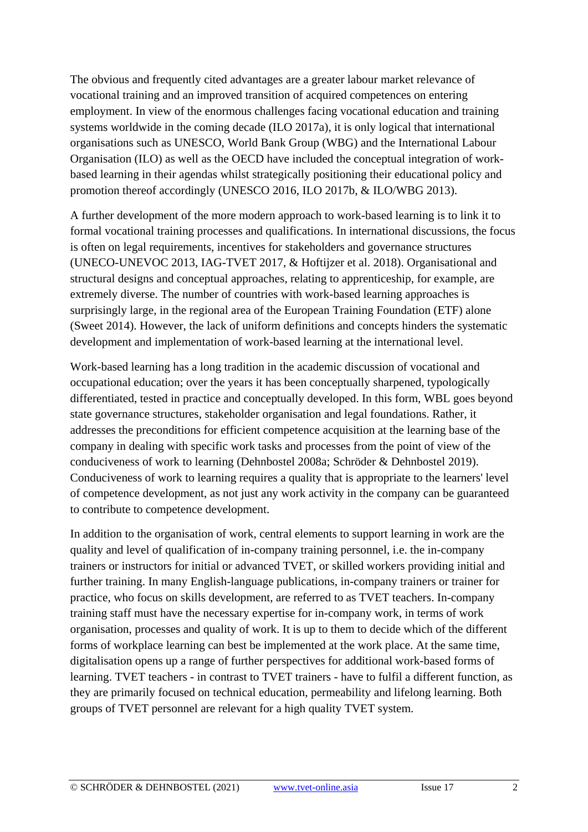The obvious and frequently cited advantages are a greater labour market relevance of vocational training and an improved transition of acquired competences on entering employment. In view of the enormous challenges facing vocational education and training systems worldwide in the coming decade (ILO 2017a), it is only logical that international organisations such as UNESCO, World Bank Group (WBG) and the International Labour Organisation (ILO) as well as the OECD have included the conceptual integration of workbased learning in their agendas whilst strategically positioning their educational policy and promotion thereof accordingly (UNESCO 2016, ILO 2017b, & ILO/WBG 2013).

A further development of the more modern approach to work-based learning is to link it to formal vocational training processes and qualifications. In international discussions, the focus is often on legal requirements, incentives for stakeholders and governance structures (UNECO-UNEVOC 2013, IAG-TVET 2017, & Hoftijzer et al. 2018). Organisational and structural designs and conceptual approaches, relating to apprenticeship, for example, are extremely diverse. The number of countries with work-based learning approaches is surprisingly large, in the regional area of the European Training Foundation (ETF) alone (Sweet 2014). However, the lack of uniform definitions and concepts hinders the systematic development and implementation of work-based learning at the international level.

Work-based learning has a long tradition in the academic discussion of vocational and occupational education; over the years it has been conceptually sharpened, typologically differentiated, tested in practice and conceptually developed. In this form, WBL goes beyond state governance structures, stakeholder organisation and legal foundations. Rather, it addresses the preconditions for efficient competence acquisition at the learning base of the company in dealing with specific work tasks and processes from the point of view of the conduciveness of work to learning (Dehnbostel 2008a; Schröder & Dehnbostel 2019). Conduciveness of work to learning requires a quality that is appropriate to the learners' level of competence development, as not just any work activity in the company can be guaranteed to contribute to competence development.

In addition to the organisation of work, central elements to support learning in work are the quality and level of qualification of in-company training personnel, i.e. the in-company trainers or instructors for initial or advanced TVET, or skilled workers providing initial and further training. In many English-language publications, in-company trainers or trainer for practice, who focus on skills development, are referred to as TVET teachers. In-company training staff must have the necessary expertise for in-company work, in terms of work organisation, processes and quality of work. It is up to them to decide which of the different forms of workplace learning can best be implemented at the work place. At the same time, digitalisation opens up a range of further perspectives for additional work-based forms of learning. TVET teachers - in contrast to TVET trainers - have to fulfil a different function, as they are primarily focused on technical education, permeability and lifelong learning. Both groups of TVET personnel are relevant for a high quality TVET system.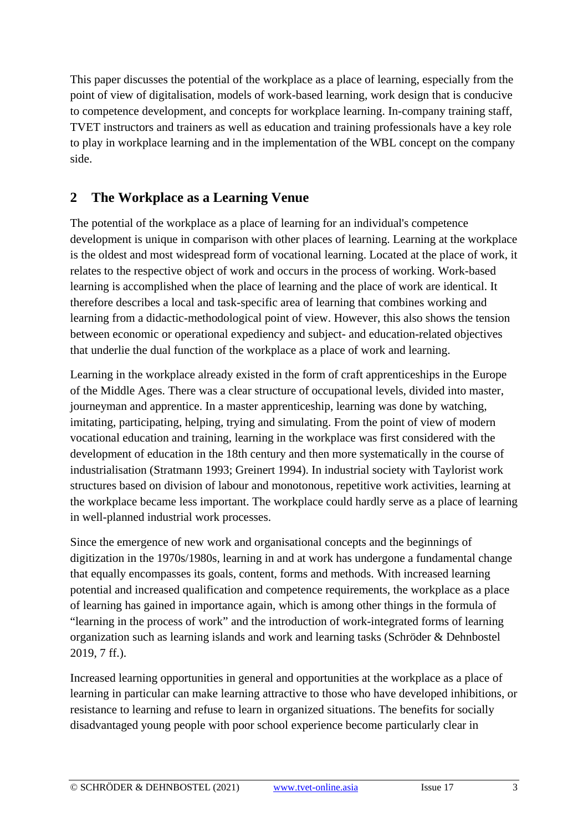This paper discusses the potential of the workplace as a place of learning, especially from the point of view of digitalisation, models of work-based learning, work design that is conducive to competence development, and concepts for workplace learning. In-company training staff, TVET instructors and trainers as well as education and training professionals have a key role to play in workplace learning and in the implementation of the WBL concept on the company side.

## **2 The Workplace as a Learning Venue**

The potential of the workplace as a place of learning for an individual's competence development is unique in comparison with other places of learning. Learning at the workplace is the oldest and most widespread form of vocational learning. Located at the place of work, it relates to the respective object of work and occurs in the process of working. Work-based learning is accomplished when the place of learning and the place of work are identical. It therefore describes a local and task-specific area of learning that combines working and learning from a didactic-methodological point of view. However, this also shows the tension between economic or operational expediency and subject- and education-related objectives that underlie the dual function of the workplace as a place of work and learning.

Learning in the workplace already existed in the form of craft apprenticeships in the Europe of the Middle Ages. There was a clear structure of occupational levels, divided into master, journeyman and apprentice. In a master apprenticeship, learning was done by watching, imitating, participating, helping, trying and simulating. From the point of view of modern vocational education and training, learning in the workplace was first considered with the development of education in the 18th century and then more systematically in the course of industrialisation (Stratmann 1993; Greinert 1994). In industrial society with Taylorist work structures based on division of labour and monotonous, repetitive work activities, learning at the workplace became less important. The workplace could hardly serve as a place of learning in well-planned industrial work processes.

Since the emergence of new work and organisational concepts and the beginnings of digitization in the 1970s/1980s, learning in and at work has undergone a fundamental change that equally encompasses its goals, content, forms and methods. With increased learning potential and increased qualification and competence requirements, the workplace as a place of learning has gained in importance again, which is among other things in the formula of "learning in the process of work" and the introduction of work-integrated forms of learning organization such as learning islands and work and learning tasks (Schröder & Dehnbostel 2019, 7 ff.).

Increased learning opportunities in general and opportunities at the workplace as a place of learning in particular can make learning attractive to those who have developed inhibitions, or resistance to learning and refuse to learn in organized situations. The benefits for socially disadvantaged young people with poor school experience become particularly clear in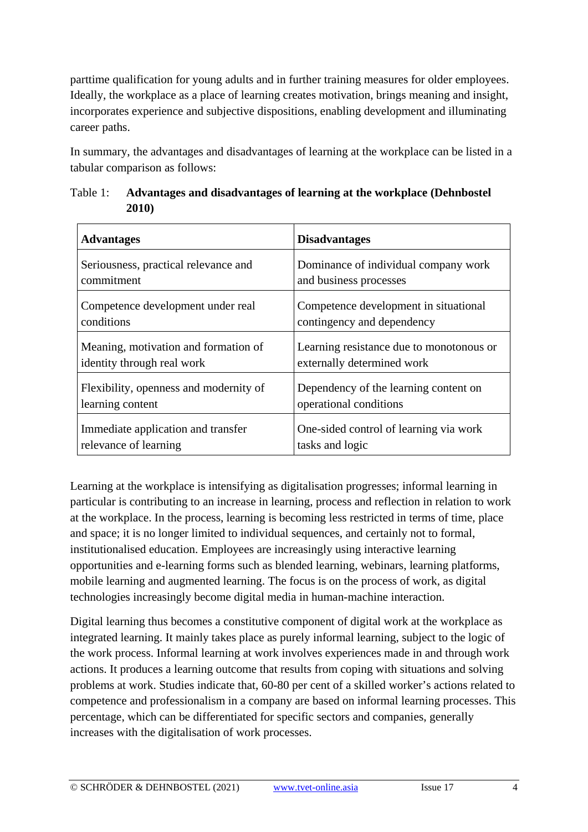parttime qualification for young adults and in further training measures for older employees. Ideally, the workplace as a place of learning creates motivation, brings meaning and insight, incorporates experience and subjective dispositions, enabling development and illuminating career paths.

In summary, the advantages and disadvantages of learning at the workplace can be listed in a tabular comparison as follows:

| <b>Advantages</b>                      | <b>Disadvantages</b>                     |
|----------------------------------------|------------------------------------------|
| Seriousness, practical relevance and   | Dominance of individual company work     |
| commitment                             | and business processes                   |
| Competence development under real      | Competence development in situational    |
| conditions                             | contingency and dependency               |
| Meaning, motivation and formation of   | Learning resistance due to monotonous or |
| identity through real work             | externally determined work               |
| Flexibility, openness and modernity of | Dependency of the learning content on    |
| learning content                       | operational conditions                   |
| Immediate application and transfer     | One-sided control of learning via work   |
| relevance of learning                  | tasks and logic                          |

Table 1: **Advantages and disadvantages of learning at the workplace (Dehnbostel 2010)**

Learning at the workplace is intensifying as digitalisation progresses; informal learning in particular is contributing to an increase in learning, process and reflection in relation to work at the workplace. In the process, learning is becoming less restricted in terms of time, place and space; it is no longer limited to individual sequences, and certainly not to formal, institutionalised education. Employees are increasingly using interactive learning opportunities and e-learning forms such as blended learning, webinars, learning platforms, mobile learning and augmented learning. The focus is on the process of work, as digital technologies increasingly become digital media in human-machine interaction.

Digital learning thus becomes a constitutive component of digital work at the workplace as integrated learning. It mainly takes place as purely informal learning, subject to the logic of the work process. Informal learning at work involves experiences made in and through work actions. It produces a learning outcome that results from coping with situations and solving problems at work. Studies indicate that, 60-80 per cent of a skilled worker's actions related to competence and professionalism in a company are based on informal learning processes. This percentage, which can be differentiated for specific sectors and companies, generally increases with the digitalisation of work processes.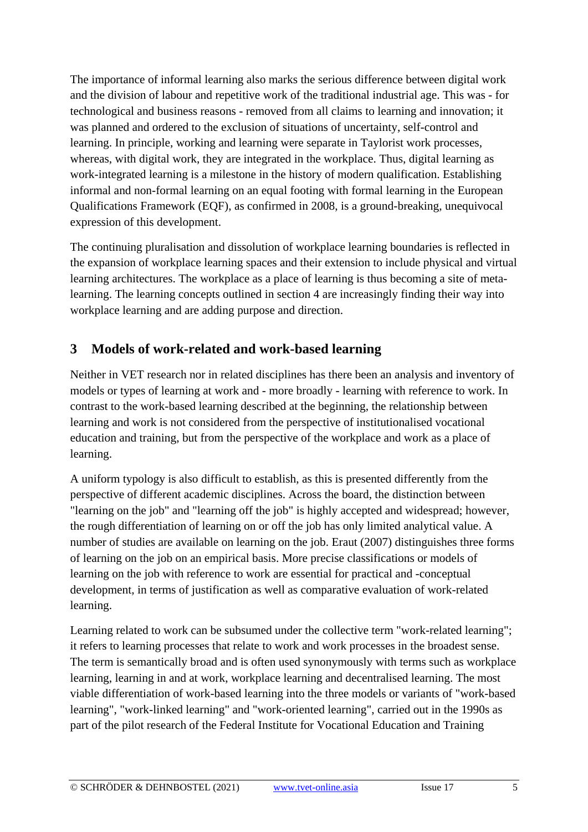The importance of informal learning also marks the serious difference between digital work and the division of labour and repetitive work of the traditional industrial age. This was - for technological and business reasons - removed from all claims to learning and innovation; it was planned and ordered to the exclusion of situations of uncertainty, self-control and learning. In principle, working and learning were separate in Taylorist work processes, whereas, with digital work, they are integrated in the workplace. Thus, digital learning as work-integrated learning is a milestone in the history of modern qualification. Establishing informal and non-formal learning on an equal footing with formal learning in the European Qualifications Framework (EQF), as confirmed in 2008, is a ground-breaking, unequivocal expression of this development.

The continuing pluralisation and dissolution of workplace learning boundaries is reflected in the expansion of workplace learning spaces and their extension to include physical and virtual learning architectures. The workplace as a place of learning is thus becoming a site of metalearning. The learning concepts outlined in section 4 are increasingly finding their way into workplace learning and are adding purpose and direction.

## **3 Models of work-related and work-based learning**

Neither in VET research nor in related disciplines has there been an analysis and inventory of models or types of learning at work and - more broadly - learning with reference to work. In contrast to the work-based learning described at the beginning, the relationship between learning and work is not considered from the perspective of institutionalised vocational education and training, but from the perspective of the workplace and work as a place of learning.

A uniform typology is also difficult to establish, as this is presented differently from the perspective of different academic disciplines. Across the board, the distinction between "learning on the job" and "learning off the job" is highly accepted and widespread; however, the rough differentiation of learning on or off the job has only limited analytical value. A number of studies are available on learning on the job. Eraut (2007) distinguishes three forms of learning on the job on an empirical basis. More precise classifications or models of learning on the job with reference to work are essential for practical and -conceptual development, in terms of justification as well as comparative evaluation of work-related learning.

Learning related to work can be subsumed under the collective term "work-related learning"; it refers to learning processes that relate to work and work processes in the broadest sense. The term is semantically broad and is often used synonymously with terms such as workplace learning, learning in and at work, workplace learning and decentralised learning. The most viable differentiation of work-based learning into the three models or variants of "work-based learning", "work-linked learning" and "work-oriented learning", carried out in the 1990s as part of the pilot research of the Federal Institute for Vocational Education and Training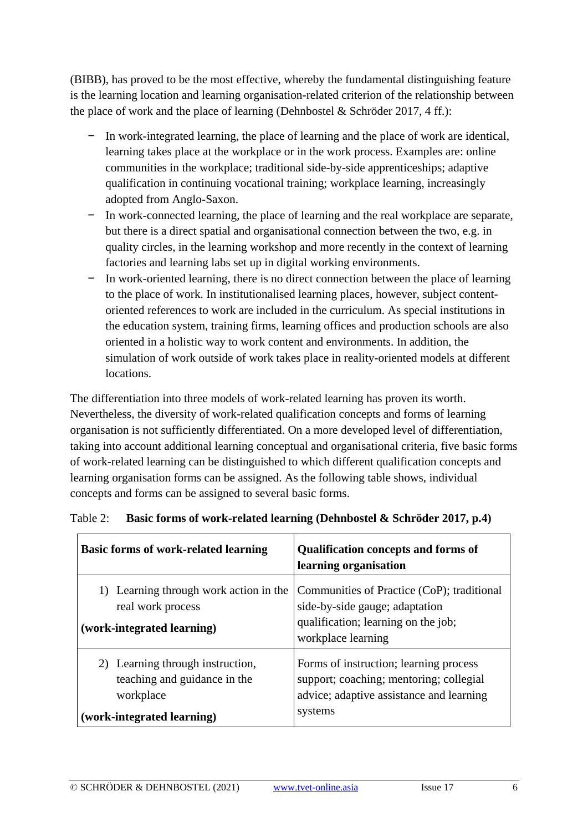(BIBB), has proved to be the most effective, whereby the fundamental distinguishing feature is the learning location and learning organisation-related criterion of the relationship between the place of work and the place of learning (Dehnbostel & Schröder 2017, 4 ff.):

- − In work-integrated learning, the place of learning and the place of work are identical, learning takes place at the workplace or in the work process. Examples are: online communities in the workplace; traditional side-by-side apprenticeships; adaptive qualification in continuing vocational training; workplace learning, increasingly adopted from Anglo-Saxon.
- − In work-connected learning, the place of learning and the real workplace are separate, but there is a direct spatial and organisational connection between the two, e.g. in quality circles, in the learning workshop and more recently in the context of learning factories and learning labs set up in digital working environments.
- − In work-oriented learning, there is no direct connection between the place of learning to the place of work. In institutionalised learning places, however, subject contentoriented references to work are included in the curriculum. As special institutions in the education system, training firms, learning offices and production schools are also oriented in a holistic way to work content and environments. In addition, the simulation of work outside of work takes place in reality-oriented models at different locations.

The differentiation into three models of work-related learning has proven its worth. Nevertheless, the diversity of work-related qualification concepts and forms of learning organisation is not sufficiently differentiated. On a more developed level of differentiation, taking into account additional learning conceptual and organisational criteria, five basic forms of work-related learning can be distinguished to which different qualification concepts and learning organisation forms can be assigned. As the following table shows, individual concepts and forms can be assigned to several basic forms.

| <b>Basic forms of work-related learning</b>                                                                 | <b>Qualification concepts and forms of</b><br>learning organisation                                                                       |
|-------------------------------------------------------------------------------------------------------------|-------------------------------------------------------------------------------------------------------------------------------------------|
| 1) Learning through work action in the<br>real work process<br>(work-integrated learning)                   | Communities of Practice (CoP); traditional<br>side-by-side gauge; adaptation<br>qualification; learning on the job;<br>workplace learning |
| 2) Learning through instruction,<br>teaching and guidance in the<br>workplace<br>(work-integrated learning) | Forms of instruction; learning process<br>support; coaching; mentoring; collegial<br>advice; adaptive assistance and learning<br>systems  |

|  |  | Table 2: Basic forms of work-related learning (Dehnbostel & Schröder 2017, p.4) |  |  |  |  |
|--|--|---------------------------------------------------------------------------------|--|--|--|--|
|--|--|---------------------------------------------------------------------------------|--|--|--|--|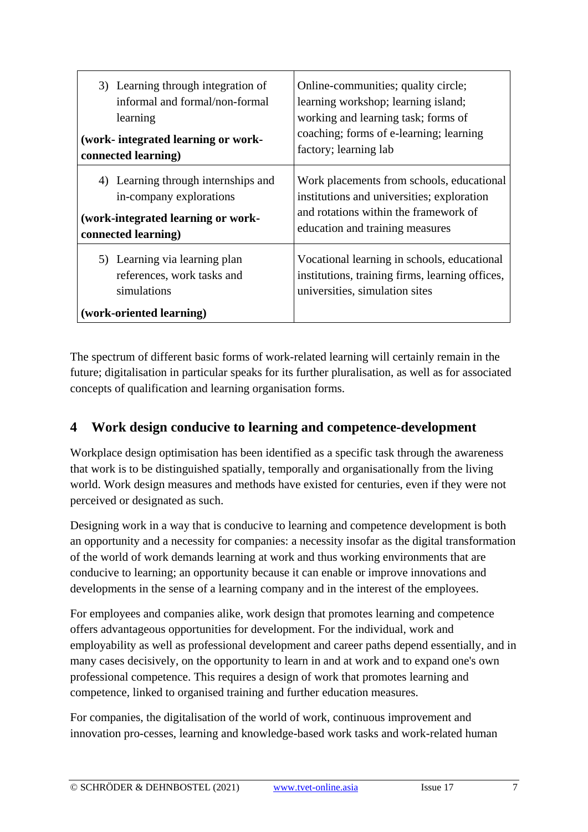| 4) Learning through internships and<br>in-company explorations<br>(work-integrated learning or work-<br>education and training measures<br>connected learning)<br>5) Learning via learning plan<br>references, work tasks and | 3) Learning through integration of<br>informal and formal/non-formal<br>learning<br>(work- integrated learning or work-<br>connected learning) | Online-communities; quality circle;<br>learning workshop; learning island;<br>working and learning task; forms of<br>coaching; forms of e-learning; learning<br>factory; learning lab |
|-------------------------------------------------------------------------------------------------------------------------------------------------------------------------------------------------------------------------------|------------------------------------------------------------------------------------------------------------------------------------------------|---------------------------------------------------------------------------------------------------------------------------------------------------------------------------------------|
|                                                                                                                                                                                                                               |                                                                                                                                                | Work placements from schools, educational<br>institutions and universities; exploration<br>and rotations within the framework of                                                      |
| (work-oriented learning)                                                                                                                                                                                                      | simulations                                                                                                                                    | Vocational learning in schools, educational<br>institutions, training firms, learning offices,<br>universities, simulation sites                                                      |

The spectrum of different basic forms of work-related learning will certainly remain in the future; digitalisation in particular speaks for its further pluralisation, as well as for associated concepts of qualification and learning organisation forms.

## **4 Work design conducive to learning and competence-development**

Workplace design optimisation has been identified as a specific task through the awareness that work is to be distinguished spatially, temporally and organisationally from the living world. Work design measures and methods have existed for centuries, even if they were not perceived or designated as such.

Designing work in a way that is conducive to learning and competence development is both an opportunity and a necessity for companies: a necessity insofar as the digital transformation of the world of work demands learning at work and thus working environments that are conducive to learning; an opportunity because it can enable or improve innovations and developments in the sense of a learning company and in the interest of the employees.

For employees and companies alike, work design that promotes learning and competence offers advantageous opportunities for development. For the individual, work and employability as well as professional development and career paths depend essentially, and in many cases decisively, on the opportunity to learn in and at work and to expand one's own professional competence. This requires a design of work that promotes learning and competence, linked to organised training and further education measures.

For companies, the digitalisation of the world of work, continuous improvement and innovation pro-cesses, learning and knowledge-based work tasks and work-related human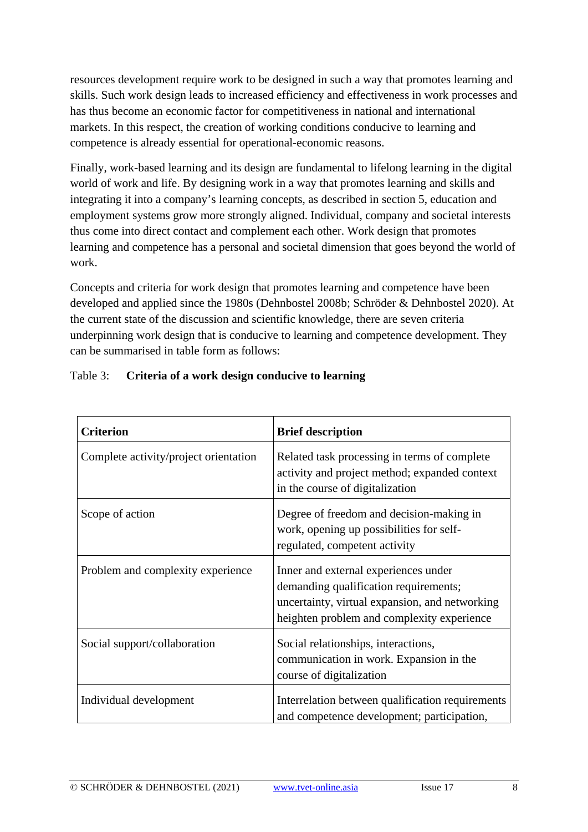resources development require work to be designed in such a way that promotes learning and skills. Such work design leads to increased efficiency and effectiveness in work processes and has thus become an economic factor for competitiveness in national and international markets. In this respect, the creation of working conditions conducive to learning and competence is already essential for operational-economic reasons.

Finally, work-based learning and its design are fundamental to lifelong learning in the digital world of work and life. By designing work in a way that promotes learning and skills and integrating it into a company's learning concepts, as described in section 5, education and employment systems grow more strongly aligned. Individual, company and societal interests thus come into direct contact and complement each other. Work design that promotes learning and competence has a personal and societal dimension that goes beyond the world of work.

Concepts and criteria for work design that promotes learning and competence have been developed and applied since the 1980s (Dehnbostel 2008b; Schröder & Dehnbostel 2020). At the current state of the discussion and scientific knowledge, there are seven criteria underpinning work design that is conducive to learning and competence development. They can be summarised in table form as follows:

| <b>Criterion</b>                      | <b>Brief description</b>                                                                                                                                                      |
|---------------------------------------|-------------------------------------------------------------------------------------------------------------------------------------------------------------------------------|
| Complete activity/project orientation | Related task processing in terms of complete<br>activity and project method; expanded context<br>in the course of digitalization                                              |
| Scope of action                       | Degree of freedom and decision-making in<br>work, opening up possibilities for self-<br>regulated, competent activity                                                         |
| Problem and complexity experience     | Inner and external experiences under<br>demanding qualification requirements;<br>uncertainty, virtual expansion, and networking<br>heighten problem and complexity experience |
| Social support/collaboration          | Social relationships, interactions,<br>communication in work. Expansion in the<br>course of digitalization                                                                    |
| Individual development                | Interrelation between qualification requirements<br>and competence development; participation,                                                                                |

#### Table 3: **Criteria of a work design conducive to learning**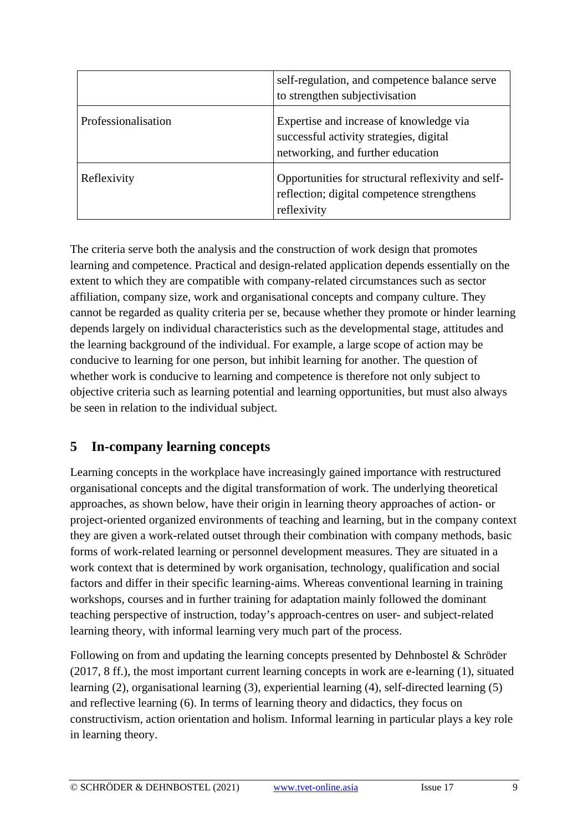|                     | self-regulation, and competence balance serve<br>to strengthen subjectivisation                                         |
|---------------------|-------------------------------------------------------------------------------------------------------------------------|
| Professionalisation | Expertise and increase of knowledge via<br>successful activity strategies, digital<br>networking, and further education |
| Reflexivity         | Opportunities for structural reflexivity and self-<br>reflection; digital competence strengthens<br>reflexivity         |

The criteria serve both the analysis and the construction of work design that promotes learning and competence. Practical and design-related application depends essentially on the extent to which they are compatible with company-related circumstances such as sector affiliation, company size, work and organisational concepts and company culture. They cannot be regarded as quality criteria per se, because whether they promote or hinder learning depends largely on individual characteristics such as the developmental stage, attitudes and the learning background of the individual. For example, a large scope of action may be conducive to learning for one person, but inhibit learning for another. The question of whether work is conducive to learning and competence is therefore not only subject to objective criteria such as learning potential and learning opportunities, but must also always be seen in relation to the individual subject.

## **5 In-company learning concepts**

Learning concepts in the workplace have increasingly gained importance with restructured organisational concepts and the digital transformation of work. The underlying theoretical approaches, as shown below, have their origin in learning theory approaches of action- or project-oriented organized environments of teaching and learning, but in the company context they are given a work-related outset through their combination with company methods, basic forms of work-related learning or personnel development measures. They are situated in a work context that is determined by work organisation, technology, qualification and social factors and differ in their specific learning-aims. Whereas conventional learning in training workshops, courses and in further training for adaptation mainly followed the dominant teaching perspective of instruction, today's approach-centres on user- and subject-related learning theory, with informal learning very much part of the process.

Following on from and updating the learning concepts presented by Dehnbostel & Schröder (2017, 8 ff.), the most important current learning concepts in work are e-learning (1), situated learning (2), organisational learning (3), experiential learning (4), self-directed learning (5) and reflective learning (6). In terms of learning theory and didactics, they focus on constructivism, action orientation and holism. Informal learning in particular plays a key role in learning theory.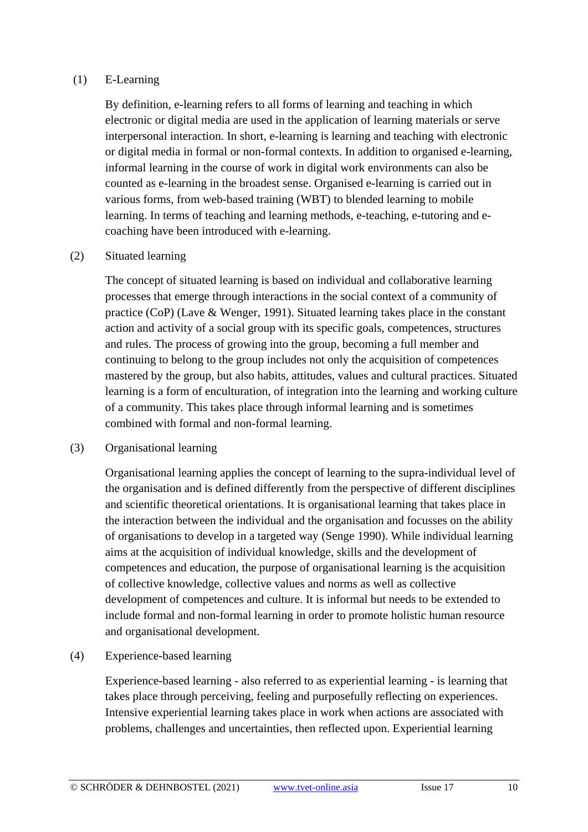#### (1) E-Learning

By definition, e-learning refers to all forms of learning and teaching in which electronic or digital media are used in the application of learning materials or serve interpersonal interaction. In short, e-learning is learning and teaching with electronic or digital media in formal or non-formal contexts. In addition to organised e-learning, informal learning in the course of work in digital work environments can also be counted as e-learning in the broadest sense. Organised e-learning is carried out in various forms, from web-based training (WBT) to blended learning to mobile learning. In terms of teaching and learning methods, e-teaching, e-tutoring and ecoaching have been introduced with e-learning.

#### (2) Situated learning

The concept of situated learning is based on individual and collaborative learning processes that emerge through interactions in the social context of a community of practice (CoP) (Lave & Wenger, 1991). Situated learning takes place in the constant action and activity of a social group with its specific goals, competences, structures and rules. The process of growing into the group, becoming a full member and continuing to belong to the group includes not only the acquisition of competences mastered by the group, but also habits, attitudes, values and cultural practices. Situated learning is a form of enculturation, of integration into the learning and working culture of a community. This takes place through informal learning and is sometimes combined with formal and non-formal learning.

#### (3) Organisational learning

Organisational learning applies the concept of learning to the supra-individual level of the organisation and is defined differently from the perspective of different disciplines and scientific theoretical orientations. It is organisational learning that takes place in the interaction between the individual and the organisation and focusses on the ability of organisations to develop in a targeted way (Senge 1990). While individual learning aims at the acquisition of individual knowledge, skills and the development of competences and education, the purpose of organisational learning is the acquisition of collective knowledge, collective values and norms as well as collective development of competences and culture. It is informal but needs to be extended to include formal and non-formal learning in order to promote holistic human resource and organisational development.

(4) Experience-based learning

Experience-based learning - also referred to as experiential learning - is learning that takes place through perceiving, feeling and purposefully reflecting on experiences. Intensive experiential learning takes place in work when actions are associated with problems, challenges and uncertainties, then reflected upon. Experiential learning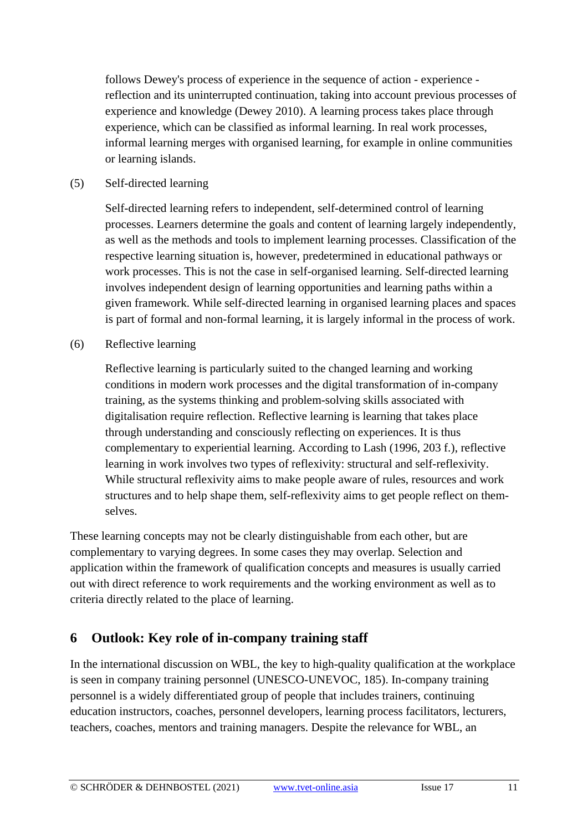follows Dewey's process of experience in the sequence of action - experience reflection and its uninterrupted continuation, taking into account previous processes of experience and knowledge (Dewey 2010). A learning process takes place through experience, which can be classified as informal learning. In real work processes, informal learning merges with organised learning, for example in online communities or learning islands.

#### (5) Self-directed learning

Self-directed learning refers to independent, self-determined control of learning processes. Learners determine the goals and content of learning largely independently, as well as the methods and tools to implement learning processes. Classification of the respective learning situation is, however, predetermined in educational pathways or work processes. This is not the case in self-organised learning. Self-directed learning involves independent design of learning opportunities and learning paths within a given framework. While self-directed learning in organised learning places and spaces is part of formal and non-formal learning, it is largely informal in the process of work.

(6) Reflective learning

Reflective learning is particularly suited to the changed learning and working conditions in modern work processes and the digital transformation of in-company training, as the systems thinking and problem-solving skills associated with digitalisation require reflection. Reflective learning is learning that takes place through understanding and consciously reflecting on experiences. It is thus complementary to experiential learning. According to Lash (1996, 203 f.), reflective learning in work involves two types of reflexivity: structural and self-reflexivity. While structural reflexivity aims to make people aware of rules, resources and work structures and to help shape them, self-reflexivity aims to get people reflect on themselves.

These learning concepts may not be clearly distinguishable from each other, but are complementary to varying degrees. In some cases they may overlap. Selection and application within the framework of qualification concepts and measures is usually carried out with direct reference to work requirements and the working environment as well as to criteria directly related to the place of learning.

## **6 Outlook: Key role of in-company training staff**

In the international discussion on WBL, the key to high-quality qualification at the workplace is seen in company training personnel (UNESCO-UNEVOC, 185). In-company training personnel is a widely differentiated group of people that includes trainers, continuing education instructors, coaches, personnel developers, learning process facilitators, lecturers, teachers, coaches, mentors and training managers. Despite the relevance for WBL, an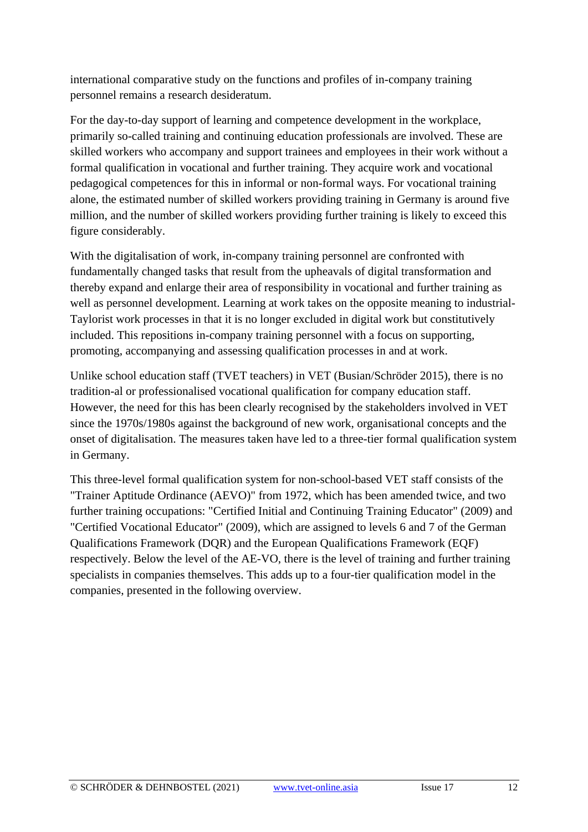international comparative study on the functions and profiles of in-company training personnel remains a research desideratum.

For the day-to-day support of learning and competence development in the workplace, primarily so-called training and continuing education professionals are involved. These are skilled workers who accompany and support trainees and employees in their work without a formal qualification in vocational and further training. They acquire work and vocational pedagogical competences for this in informal or non-formal ways. For vocational training alone, the estimated number of skilled workers providing training in Germany is around five million, and the number of skilled workers providing further training is likely to exceed this figure considerably.

With the digitalisation of work, in-company training personnel are confronted with fundamentally changed tasks that result from the upheavals of digital transformation and thereby expand and enlarge their area of responsibility in vocational and further training as well as personnel development. Learning at work takes on the opposite meaning to industrial-Taylorist work processes in that it is no longer excluded in digital work but constitutively included. This repositions in-company training personnel with a focus on supporting, promoting, accompanying and assessing qualification processes in and at work.

Unlike school education staff (TVET teachers) in VET (Busian/Schröder 2015), there is no tradition-al or professionalised vocational qualification for company education staff. However, the need for this has been clearly recognised by the stakeholders involved in VET since the 1970s/1980s against the background of new work, organisational concepts and the onset of digitalisation. The measures taken have led to a three-tier formal qualification system in Germany.

This three-level formal qualification system for non-school-based VET staff consists of the "Trainer Aptitude Ordinance (AEVO)" from 1972, which has been amended twice, and two further training occupations: "Certified Initial and Continuing Training Educator" (2009) and "Certified Vocational Educator" (2009), which are assigned to levels 6 and 7 of the German Qualifications Framework (DQR) and the European Qualifications Framework (EQF) respectively. Below the level of the AE-VO, there is the level of training and further training specialists in companies themselves. This adds up to a four-tier qualification model in the companies, presented in the following overview.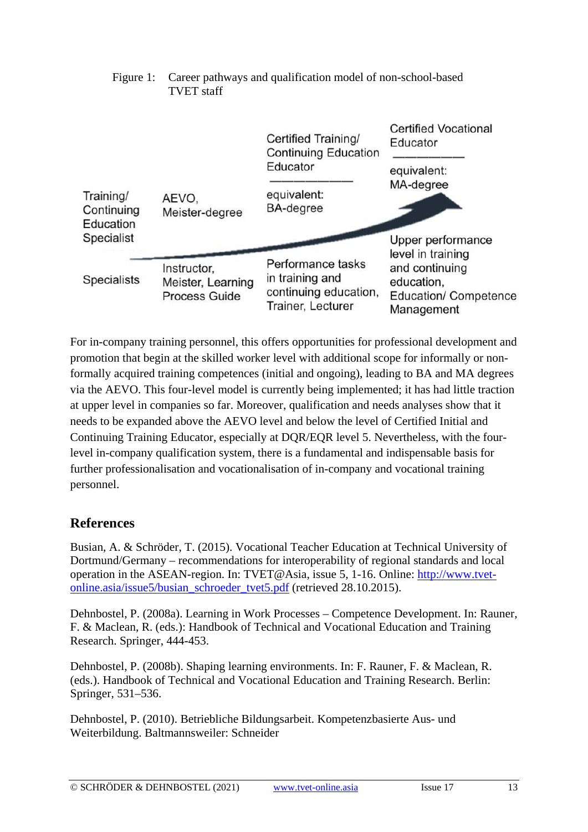

#### Figure 1: Career pathways and qualification model of non-school-based TVET staff

For in-company training personnel, this offers opportunities for professional development and promotion that begin at the skilled worker level with additional scope for informally or nonformally acquired training competences (initial and ongoing), leading to BA and MA degrees via the AEVO. This four-level model is currently being implemented; it has had little traction at upper level in companies so far. Moreover, qualification and needs analyses show that it needs to be expanded above the AEVO level and below the level of Certified Initial and Continuing Training Educator, especially at DQR/EQR level 5. Nevertheless, with the fourlevel in-company qualification system, there is a fundamental and indispensable basis for further professionalisation and vocationalisation of in-company and vocational training personnel.

## **References**

Busian, A. & Schröder, T. (2015). Vocational Teacher Education at Technical University of Dortmund/Germany – recommendations for interoperability of regional standards and local operation in the ASEAN-region. In: TVET@Asia, issue 5, 1-16. Online: [http://www.tvet](http://www.tvet-online.asia/issue5/busian_schroeder_tvet5.pdf)[online.asia/issue5/busian\\_schroeder\\_tvet5.pdf](http://www.tvet-online.asia/issue5/busian_schroeder_tvet5.pdf) (retrieved 28.10.2015).

Dehnbostel, P. (2008a). Learning in Work Processes – Competence Development. In: Rauner, F. & Maclean, R. (eds.): Handbook of Technical and Vocational Education and Training Research. Springer, 444-453.

Dehnbostel, P. (2008b). Shaping learning environments. In: F. Rauner, F. & Maclean, R. (eds.). Handbook of Technical and Vocational Education and Training Research. Berlin: Springer, 531–536.

Dehnbostel, P. (2010). Betriebliche Bildungsarbeit. Kompetenzbasierte Aus- und Weiterbildung. Baltmannsweiler: Schneider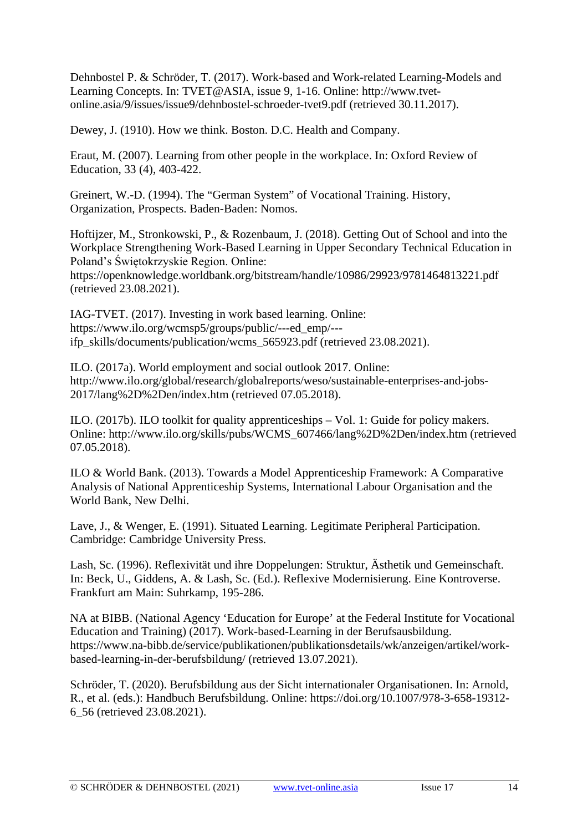Dehnbostel P. & Schröder, T. (2017). Work-based and Work-related Learning-Models and Learning Concepts. In: TVET@ASIA, issue 9, 1-16. Online: [http://www.tvet](http://www.tvet-online.asia/9/issues/issue9/dehnbostel-schroeder-tvet9.pdf)[online.asia/9/issues/issue9/dehnbostel-schroeder-tvet9.pdf](http://www.tvet-online.asia/9/issues/issue9/dehnbostel-schroeder-tvet9.pdf) (retrieved 30.11.2017).

Dewey, J. (1910). How we think. Boston. D.C. Health and Company.

Eraut, M. (2007). Learning from other people in the workplace. In: Oxford Review of Education, 33 (4), 403-422.

Greinert, W.-D. (1994). The "German System" of Vocational Training. History, Organization, Prospects. Baden-Baden: Nomos.

Hoftijzer, M., Stronkowski, P., & Rozenbaum, J. (2018). Getting Out of School and into the Workplace Strengthening Work-Based Learning in Upper Secondary Technical Education in Poland's Świętokrzyskie Region. Online:

<https://openknowledge.worldbank.org/bitstream/handle/10986/29923/9781464813221.pdf> (retrieved 23.08.2021).

IAG-TVET. (2017). Investing in work based learning. Online: [https://www.ilo.org/wcmsp5/groups/public/---ed\\_emp/--](https://www.ilo.org/wcmsp5/groups/public/---ed_emp/---ifp_skills/documents/publication/wcms_565923.pdf) [ifp\\_skills/documents/publication/wcms\\_565923.pdf](https://www.ilo.org/wcmsp5/groups/public/---ed_emp/---ifp_skills/documents/publication/wcms_565923.pdf) (retrieved 23.08.2021).

ILO. (2017a). World employment and social outlook 2017. Online: [http://www.ilo.org/global/research/globalreports/weso/sustainable-enterprises-and-jobs-](http://www.ilo.org/global/research/globalreports/weso/sustainable-enterprises-and-jobs-2017/lang--en/index.htm)[2017/lang%2D%2Den/index.htm](http://www.ilo.org/global/research/globalreports/weso/sustainable-enterprises-and-jobs-2017/lang--en/index.htm) (retrieved 07.05.2018).

ILO. (2017b). ILO toolkit for quality apprenticeships – Vol. 1: Guide for policy makers. Online: [http://www.ilo.org/skills/pubs/WCMS\\_607466/lang%2D%2Den/index.htm](http://www.ilo.org/skills/pubs/WCMS_607466/lang--en/index.htm) (retrieved 07.05.2018).

ILO & World Bank. (2013). Towards a Model Apprenticeship Framework: A Comparative Analysis of National Apprenticeship Systems, International Labour Organisation and the World Bank, New Delhi.

Lave, J., & Wenger, E. (1991). Situated Learning. Legitimate Peripheral Participation. Cambridge: Cambridge University Press.

Lash, Sc. (1996). Reflexivität und ihre Doppelungen: Struktur, Ästhetik und Gemeinschaft. In: Beck, U., Giddens, A. & Lash, Sc. (Ed.). Reflexive Modernisierung. Eine Kontroverse. Frankfurt am Main: Suhrkamp, 195-286.

NA at BIBB. (National Agency 'Education for Europe' at the Federal Institute for Vocational Education and Training) (2017). Work-based-Learning in der Berufsausbildung. [https://www.na-bibb.de/service/publikationen/publikationsdetails/wk/anzeigen/artikel/work](https://www.na-bibb.de/service/publikationen/publikationsdetails/wk/anzeigen/artikel/work-based-learning-in-der-berufsbildung/)[based-learning-in-der-berufsbildung/](https://www.na-bibb.de/service/publikationen/publikationsdetails/wk/anzeigen/artikel/work-based-learning-in-der-berufsbildung/) (retrieved 13.07.2021).

Schröder, T. (2020). Berufsbildung aus der Sicht internationaler Organisationen. In: Arnold, R., et al. (eds.): Handbuch Berufsbildung. Online: [https://doi.org/10.1007/978-3-658-19312-](https://doi.org/10.1007/978-3-658-19312-6_56) [6\\_56](https://doi.org/10.1007/978-3-658-19312-6_56) (retrieved 23.08.2021).